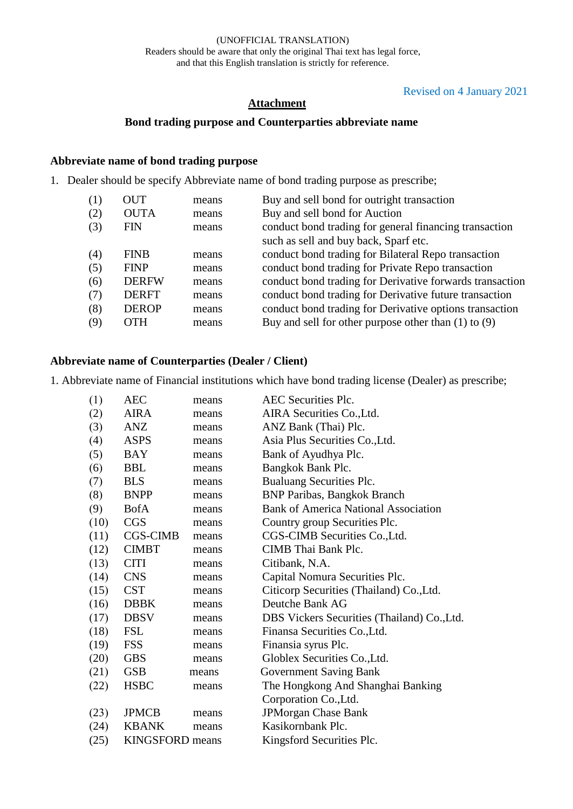## Revised on 4 January 2021

### **Attachment**

# **Bond trading purpose and Counterparties abbreviate name**

## **Abbreviate name of bond trading purpose**

1. Dealer should be specify Abbreviate name of bond trading purpose as prescribe;

| (1) | OUT          | means | Buy and sell bond for outright transaction               |
|-----|--------------|-------|----------------------------------------------------------|
| (2) | <b>OUTA</b>  | means | Buy and sell bond for Auction                            |
| (3) | <b>FIN</b>   | means | conduct bond trading for general financing transaction   |
|     |              |       | such as sell and buy back, Sparf etc.                    |
| (4) | <b>FINB</b>  | means | conduct bond trading for Bilateral Repo transaction      |
| (5) | <b>FINP</b>  | means | conduct bond trading for Private Repo transaction        |
| (6) | <b>DERFW</b> | means | conduct bond trading for Derivative forwards transaction |
| (7) | <b>DERFT</b> | means | conduct bond trading for Derivative future transaction   |
| (8) | <b>DEROP</b> | means | conduct bond trading for Derivative options transaction  |
| (9) | <b>OTH</b>   | means | Buy and sell for other purpose other than $(1)$ to $(9)$ |
|     |              |       |                                                          |

## **Abbreviate name of Counterparties (Dealer / Client)**

1. Abbreviate name of Financial institutions which have bond trading license (Dealer) as prescribe;

| (1)  | AEC                    | means | AEC Securities Plc.                         |
|------|------------------------|-------|---------------------------------------------|
| (2)  | <b>AIRA</b>            | means | AIRA Securities Co., Ltd.                   |
| (3)  | ANZ                    | means | ANZ Bank (Thai) Plc.                        |
| (4)  | <b>ASPS</b>            | means | Asia Plus Securities Co., Ltd.              |
| (5)  | BAY                    | means | Bank of Ayudhya Plc.                        |
| (6)  | <b>BBL</b>             | means | Bangkok Bank Plc.                           |
| (7)  | <b>BLS</b>             | means | Bualuang Securities Plc.                    |
| (8)  | <b>BNPP</b>            | means | <b>BNP Paribas, Bangkok Branch</b>          |
| (9)  | <b>BofA</b>            | means | <b>Bank of America National Association</b> |
| (10) | <b>CGS</b>             | means | Country group Securities Plc.               |
| (11) | <b>CGS-CIMB</b>        | means | CGS-CIMB Securities Co., Ltd.               |
| (12) | <b>CIMBT</b>           | means | CIMB Thai Bank Plc.                         |
| (13) | <b>CITI</b>            | means | Citibank, N.A.                              |
| (14) | <b>CNS</b>             | means | Capital Nomura Securities Plc.              |
| (15) | <b>CST</b>             | means | Citicorp Securities (Thailand) Co., Ltd.    |
| (16) | <b>DBBK</b>            | means | Deutche Bank AG                             |
| (17) | <b>DBSV</b>            | means | DBS Vickers Securities (Thailand) Co., Ltd. |
| (18) | <b>FSL</b>             | means | Finansa Securities Co., Ltd.                |
| (19) | <b>FSS</b>             | means | Finansia syrus Plc.                         |
| (20) | <b>GBS</b>             | means | Globlex Securities Co., Ltd.                |
| (21) | <b>GSB</b>             | means | <b>Government Saving Bank</b>               |
| (22) | <b>HSBC</b>            | means | The Hongkong And Shanghai Banking           |
|      |                        |       | Corporation Co., Ltd.                       |
| (23) | <b>JPMCB</b>           | means | <b>JPMorgan Chase Bank</b>                  |
| (24) | <b>KBANK</b>           | means | Kasikornbank Plc.                           |
| (25) | <b>KINGSFORD</b> means |       | Kingsford Securities Plc.                   |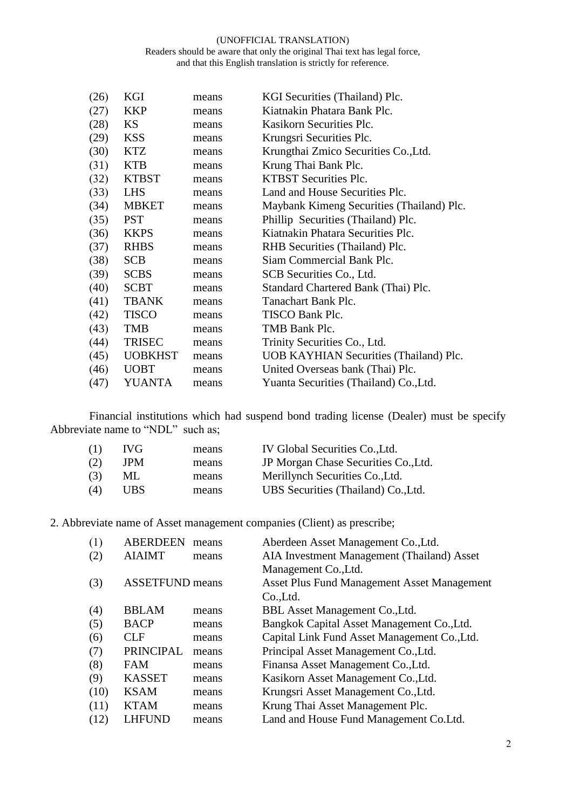#### (UNOFFICIAL TRANSLATION) Readers should be aware that only the original Thai text has legal force, and that this English translation is strictly for reference.

| (26) | KGI            | means | KGI Securities (Thailand) Plc.            |
|------|----------------|-------|-------------------------------------------|
| (27) | <b>KKP</b>     | means | Kiatnakin Phatara Bank Plc.               |
| (28) | KS             | means | Kasikorn Securities Plc.                  |
| (29) | <b>KSS</b>     | means | Krungsri Securities Plc.                  |
| (30) | <b>KTZ</b>     | means | Krungthai Zmico Securities Co., Ltd.      |
| (31) | <b>KTB</b>     | means | Krung Thai Bank Plc.                      |
| (32) | <b>KTBST</b>   | means | <b>KTBST</b> Securities Plc.              |
| (33) | <b>LHS</b>     | means | Land and House Securities Plc.            |
| (34) | <b>MBKET</b>   | means | Maybank Kimeng Securities (Thailand) Plc. |
| (35) | <b>PST</b>     | means | Phillip Securities (Thailand) Plc.        |
| (36) | <b>KKPS</b>    | means | Kiatnakin Phatara Securities Plc.         |
| (37) | <b>RHBS</b>    | means | RHB Securities (Thailand) Plc.            |
| (38) | <b>SCB</b>     | means | Siam Commercial Bank Plc.                 |
| (39) | <b>SCBS</b>    | means | SCB Securities Co., Ltd.                  |
| (40) | <b>SCBT</b>    | means | Standard Chartered Bank (Thai) Plc.       |
| (41) | <b>TBANK</b>   | means | Tanachart Bank Plc.                       |
| (42) | <b>TISCO</b>   | means | TISCO Bank Plc.                           |
| (43) | <b>TMB</b>     | means | TMB Bank Plc.                             |
| (44) | <b>TRISEC</b>  | means | Trinity Securities Co., Ltd.              |
| (45) | <b>UOBKHST</b> | means | UOB KAYHIAN Securities (Thailand) Plc.    |
| (46) | <b>UOBT</b>    | means | United Overseas bank (Thai) Plc.          |
| (47) | <b>YUANTA</b>  | means | Yuanta Securities (Thailand) Co., Ltd.    |
|      |                |       |                                           |

Financial institutions which had suspend bond trading license (Dealer) must be specify Abbreviate name to "NDL" such as;

| (1) | IVG. | means | IV Global Securities Co., Ltd.       |
|-----|------|-------|--------------------------------------|
| (2) | JPM  | means | JP Morgan Chase Securities Co., Ltd. |
| (3) | ML   | means | Merillynch Securities Co., Ltd.      |
| (4) | UBS. | means | UBS Securities (Thailand) Co., Ltd.  |

2. Abbreviate name of Asset management companies (Client) as prescribe;

| (1)  | <b>ABERDEEN</b>        | means | Aberdeen Asset Management Co., Ltd.                |
|------|------------------------|-------|----------------------------------------------------|
| (2)  | <b>AIAIMT</b>          | means | AIA Investment Management (Thailand) Asset         |
|      |                        |       | Management Co., Ltd.                               |
| (3)  | <b>ASSETFUND</b> means |       | <b>Asset Plus Fund Management Asset Management</b> |
|      |                        |       | Co.,Ltd.                                           |
| (4)  | <b>BBLAM</b>           | means | BBL Asset Management Co., Ltd.                     |
| (5)  | <b>BACP</b>            | means | Bangkok Capital Asset Management Co., Ltd.         |
| (6)  | CLF                    | means | Capital Link Fund Asset Management Co., Ltd.       |
| (7)  | <b>PRINCIPAL</b>       | means | Principal Asset Management Co., Ltd.               |
| (8)  | <b>FAM</b>             | means | Finansa Asset Management Co., Ltd.                 |
| (9)  | <b>KASSET</b>          | means | Kasikorn Asset Management Co., Ltd.                |
| (10) | <b>KSAM</b>            | means | Krungsri Asset Management Co., Ltd.                |
| (11) | <b>KTAM</b>            | means | Krung Thai Asset Management Plc.                   |
| (12) | <b>LHFUND</b>          | means | Land and House Fund Management Co.Ltd.             |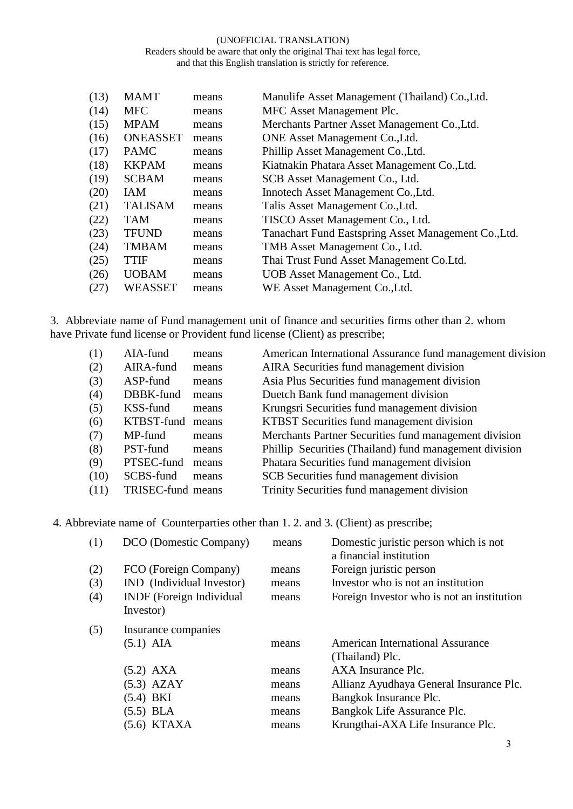#### (UNOFFICIAL TRANSLATION) Readers should be aware that only the original Thai text has legal force, and that this English translation is strictly for reference.

| (13) | <b>MAMT</b>     | means | Manulife Asset Management (Thailand) Co., Ltd.       |
|------|-----------------|-------|------------------------------------------------------|
| (14) | <b>MFC</b>      | means | MFC Asset Management Plc.                            |
| (15) | <b>MPAM</b>     | means | Merchants Partner Asset Management Co., Ltd.         |
| (16) | <b>ONEASSET</b> | means | ONE Asset Management Co., Ltd.                       |
| (17) | <b>PAMC</b>     | means | Phillip Asset Management Co., Ltd.                   |
| (18) | <b>KKPAM</b>    | means | Kiatnakin Phatara Asset Management Co., Ltd.         |
| (19) | <b>SCBAM</b>    | means | SCB Asset Management Co., Ltd.                       |
| (20) | <b>IAM</b>      | means | Innotech Asset Management Co., Ltd.                  |
| (21) | <b>TALISAM</b>  | means | Talis Asset Management Co., Ltd.                     |
| (22) | <b>TAM</b>      | means | TISCO Asset Management Co., Ltd.                     |
| (23) | <b>TFUND</b>    | means | Tanachart Fund Eastspring Asset Management Co., Ltd. |
| (24) | <b>TMBAM</b>    | means | TMB Asset Management Co., Ltd.                       |
| (25) | <b>TTIF</b>     | means | Thai Trust Fund Asset Management Co. Ltd.            |
| (26) | <b>UOBAM</b>    | means | UOB Asset Management Co., Ltd.                       |
| (27) | WEASSET         | means | WE Asset Management Co., Ltd.                        |

3. Abbreviate name of Fund management unit of finance and securities firms other than 2. whom have Private fund license or Provident fund license (Client) as prescribe;

| (1)  | AIA-fund          | means | American International Assurance fund management division |
|------|-------------------|-------|-----------------------------------------------------------|
| (2)  | AIRA-fund         | means | AIRA Securities fund management division                  |
| (3)  | ASP-fund          | means | Asia Plus Securities fund management division             |
| (4)  | DBBK-fund         | means | Duetch Bank fund management division                      |
| (5)  | KSS-fund          | means | Krungsri Securities fund management division              |
| (6)  | KTBST-fund        | means | KTBST Securities fund management division                 |
| (7)  | MP-fund           | means | Merchants Partner Securities fund management division     |
| (8)  | PST-fund          | means | Phillip Securities (Thailand) fund management division    |
| (9)  | PTSEC-fund        | means | Phatara Securities fund management division               |
| (10) | SCBS-fund         | means | SCB Securities fund management division                   |
| (11) | TRISEC-fund means |       | Trinity Securities fund management division               |

4. Abbreviate name of Counterparties other than 1. 2. and 3. (Client) as prescribe;

| (1) | DCO (Domestic Company)                       | means | Domestic juristic person which is not<br>a financial institution |
|-----|----------------------------------------------|-------|------------------------------------------------------------------|
| (2) | FCO (Foreign Company)                        | means | Foreign juristic person                                          |
| (3) | IND (Individual Investor)                    | means | Investor who is not an institution                               |
| (4) | <b>INDF</b> (Foreign Individual<br>Investor) | means | Foreign Investor who is not an institution                       |
| (5) | Insurance companies                          |       |                                                                  |
|     | $(5.1)$ AIA                                  | means | <b>American International Assurance</b><br>(Thailand) Plc.       |
|     | $(5.2)$ AXA                                  | means | AXA Insurance Plc.                                               |
|     | $(5.3)$ AZAY                                 | means | Allianz Ayudhaya General Insurance Plc.                          |
|     | $(5.4)$ BKI                                  | means | Bangkok Insurance Plc.                                           |
|     | $(5.5)$ BLA                                  | means | Bangkok Life Assurance Plc.                                      |
|     | $(5.6)$ KTAXA                                | means | Krungthai-AXA Life Insurance Plc.                                |